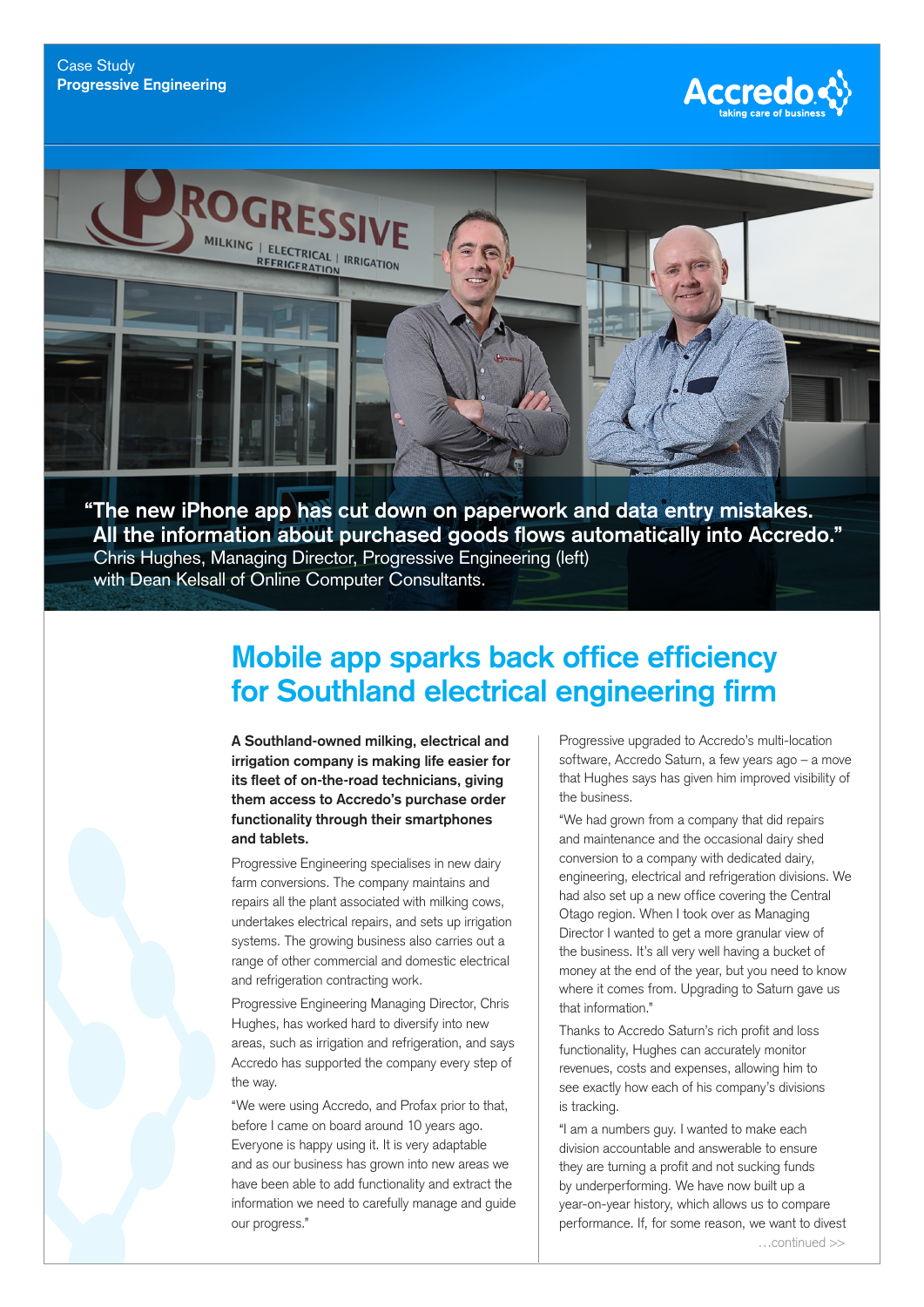



**"The new iPhone app has cut down on paperwork and data entry mistakes. All the information about purchased goods flows automatically into Accredo."** Chris Hughes, Managing Director, Progressive Engineering (left) with Dean Kelsall of Online Computer Consultants.

## **Mobile app sparks back office efficiency for Southland electrical engineering firm**

**A Southland-owned milking, electrical and irrigation company is making life easier for its fleet of on-the-road technicians, giving them access to Accredo's purchase order functionality through their smartphones and tablets.**

Progressive Engineering specialises in new dairy farm conversions. The company maintains and repairs all the plant associated with milking cows, undertakes electrical repairs, and sets up irrigation systems. The growing business also carries out a range of other commercial and domestic electrical and refrigeration contracting work.

Progressive Engineering Managing Director, Chris Hughes, has worked hard to diversify into new areas, such as irrigation and refrigeration, and says Accredo has supported the company every step of the way.

"We were using Accredo, and Profax prior to that, before I came on board around 10 years ago. Everyone is happy using it. It is very adaptable and as our business has grown into new areas we have been able to add functionality and extract the information we need to carefully manage and guide our progress."

Progressive upgraded to Accredo's multi-location software, Accredo Saturn, a few years ago – a move that Hughes says has given him improved visibility of the business.

"We had grown from a company that did repairs and maintenance and the occasional dairy shed conversion to a company with dedicated dairy, engineering, electrical and refrigeration divisions. We had also set up a new office covering the Central Otago region. When I took over as Managing Director I wanted to get a more granular view of the business. It's all very well having a bucket of money at the end of the year, but you need to know where it comes from. Upgrading to Saturn gave us that information."

Thanks to Accredo Saturn's rich profit and loss functionality, Hughes can accurately monitor revenues, costs and expenses, allowing him to see exactly how each of his company's divisions is tracking.

"I am a numbers guy. I wanted to make each division accountable and answerable to ensure they are turning a profit and not sucking funds by underperforming. We have now built up a year-on-year history, which allows us to compare performance. If, for some reason, we want to divest